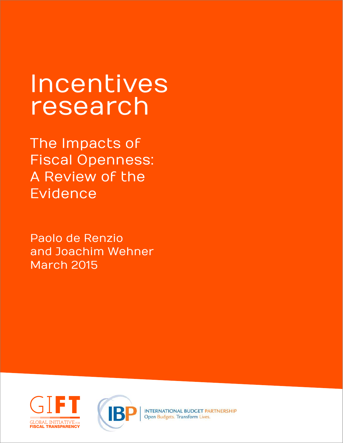# Incentives research

The Impacts of Fiscal Openness: A Review of the Evidence

Paolo de Renzio and Joachim Wehner March 2015





**INTERNATIONAL BUDGET PARTNERSHIP** Open Budgets. Transform Lives.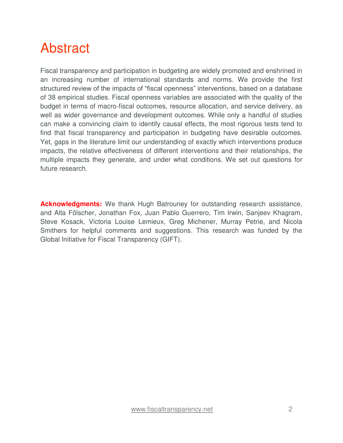### Abstract

Fiscal transparency and participation in budgeting are widely promoted and enshrined in an increasing number of international standards and norms. We provide the first structured review of the impacts of "fiscal openness" interventions, based on a database of 38 empirical studies. Fiscal openness variables are associated with the quality of the budget in terms of macro-fiscal outcomes, resource allocation, and service delivery, as well as wider governance and development outcomes. While only a handful of studies can make a convincing claim to identify causal effects, the most rigorous tests tend to find that fiscal transparency and participation in budgeting have desirable outcomes. Yet, gaps in the literature limit our understanding of exactly which interventions produce impacts, the relative effectiveness of different interventions and their relationships, the multiple impacts they generate, and under what conditions. We set out questions for future research.

**Acknowledgments:** We thank Hugh Batrouney for outstanding research assistance, and Alta Fölscher, Jonathan Fox, Juan Pablo Guerrero, Tim Irwin, Sanjeev Khagram, Steve Kosack, Victoria Louise Lemieux, Greg Michener, Murray Petrie, and Nicola Smithers for helpful comments and suggestions. This research was funded by the Global Initiative for Fiscal Transparency (GIFT).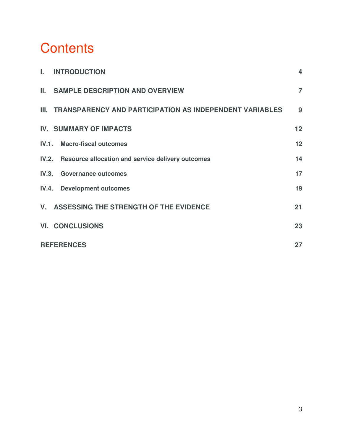### **Contents**

| L. | <b>INTRODUCTION</b>                                          | $\overline{\mathbf{4}}$ |  |  |  |
|----|--------------------------------------------------------------|-------------------------|--|--|--|
|    | II. SAMPLE DESCRIPTION AND OVERVIEW                          | $\overline{7}$          |  |  |  |
|    | III. TRANSPARENCY AND PARTICIPATION AS INDEPENDENT VARIABLES | 9                       |  |  |  |
|    | IV. SUMMARY OF IMPACTS                                       | 12                      |  |  |  |
|    | <b>IV.1. Macro-fiscal outcomes</b>                           | 12                      |  |  |  |
|    | IV.2. Resource allocation and service delivery outcomes      | 14                      |  |  |  |
|    | IV.3. Governance outcomes                                    | 17                      |  |  |  |
|    | IV.4. Development outcomes                                   | 19                      |  |  |  |
|    | V. ASSESSING THE STRENGTH OF THE EVIDENCE                    | 21                      |  |  |  |
|    | <b>VI. CONCLUSIONS</b>                                       | 23                      |  |  |  |
|    | <b>REFERENCES</b><br>27                                      |                         |  |  |  |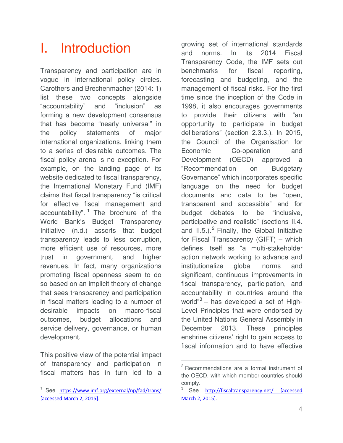# <span id="page-3-0"></span>I. Introduction

Transparency and participation are in vogue in international policy circles. Carothers and Brechenmacher (2014: 1) list these two concepts alongside "accountability" and "inclusion" as forming a new development consensus that has become "nearly universal" in the policy statements of major international organizations, linking them to a series of desirable outcomes. The fiscal policy arena is no exception. For example, on the landing page of its website dedicated to fiscal transparency, the International Monetary Fund (IMF) claims that fiscal transparency "is critical for effective fiscal management and accountability". <sup>1</sup> The brochure of the World Bank's Budget Transparency Initiative (n.d.) asserts that budget transparency leads to less corruption, more efficient use of resources, more trust in government, and higher revenues. In fact, many organizations promoting fiscal openness seem to do so based on an implicit theory of change that sees transparency and participation in fiscal matters leading to a number of desirable impacts on macro-fiscal outcomes, budget allocations and service delivery, governance, or human development.

This positive view of the potential impact of transparency and participation in fiscal matters has in turn led to a

 $\overline{a}$ 

growing set of international standards and norms. In its 2014 Fiscal Transparency Code, the IMF sets out benchmarks for fiscal reporting, forecasting and budgeting, and the management of fiscal risks. For the first time since the inception of the Code in 1998, it also encourages governments to provide their citizens with "an opportunity to participate in budget deliberations" (section 2.3.3.). In 2015, the Council of the Organisation for Economic Co-operation and Development (OECD) approved a "Recommendation on Budgetary Governance" which incorporates specific language on the need for budget documents and data to be "open, transparent and accessible" and for budget debates to be "inclusive, participative and realistic" (sections II.4. and  $II.5$ .).<sup>2</sup> Finally, the Global Initiative for Fiscal Transparency (GIFT) – which defines itself as "a multi-stakeholder action network working to advance and institutionalize global norms and significant, continuous improvements in fiscal transparency, participation, and accountability in countries around the world"<sup>3</sup> – has developed a set of High-Level Principles that were endorsed by the United Nations General Assembly in December 2013. These principles enshrine citizens' right to gain access to fiscal information and to have effective

<sup>&</sup>lt;sup>1</sup> See https://www.imf.org/external/np/fad/trans/ [accessed March 2, 2015].

<sup>&</sup>lt;sup>2</sup> Recommendations are a formal instrument of the OECD, with which member countries should comply.

<sup>3</sup> See <http://fiscaltransparency.net/>[accessed March 2, 2015].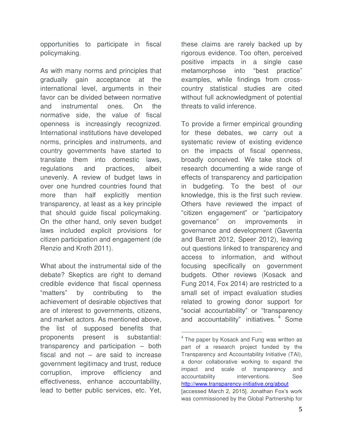opportunities to participate in fiscal policymaking.

As with many norms and principles that gradually gain acceptance at the international level, arguments in their favor can be divided between normative and instrumental ones. On the normative side, the value of fiscal openness is increasingly recognized. International institutions have developed norms, principles and instruments, and country governments have started to translate them into domestic laws, regulations and practices, albeit unevenly. A review of budget laws in over one hundred countries found that more than half explicitly mention transparency, at least as a key principle that should guide fiscal policymaking. On the other hand, only seven budget laws included explicit provisions for citizen participation and engagement (de Renzio and Kroth 2011).

What about the instrumental side of the debate? Skeptics are right to demand credible evidence that fiscal openness "matters" by contributing to the achievement of desirable objectives that are of interest to governments, citizens, and market actors. As mentioned above, the list of supposed benefits that proponents present is substantial: transparency and participation – both fiscal and not – are said to increase government legitimacy and trust, reduce corruption, improve efficiency and effectiveness, enhance accountability, lead to better public services, etc. Yet,

these claims are rarely backed up by rigorous evidence. Too often, perceived positive impacts in a single case metamorphose into "best practice" examples, while findings from crosscountry statistical studies are cited without full acknowledgment of potential threats to valid inference.

To provide a firmer empirical grounding for these debates, we carry out a systematic review of existing evidence on the impacts of fiscal openness, broadly conceived. We take stock of research documenting a wide range of effects of transparency and participation in budgeting. To the best of our knowledge, this is the first such review. Others have reviewed the impact of "citizen engagement" or "participatory governance" on improvements in governance and development (Gaventa and Barrett 2012, Speer 2012), leaving out questions linked to transparency and access to information, and without focusing specifically on government budgets. Other reviews (Kosack and Fung 2014, Fox 2014) are restricted to a small set of impact evaluation studies related to growing donor support for "social accountability" or "transparency and accountability" initiatives. <sup>4</sup> Some

<sup>&</sup>lt;sup>4</sup> The paper by Kosack and Fung was written as part of a research project funded by the Transparency and Accountability Initiative (TAI), a donor collaborative working to expand the impact and scale of transparency and accountability interventions. See <http://www.transparency-initiative.org/about>

<sup>[</sup>accessed March 2, 2015]. Jonathan Fox's work was commissioned by the Global Partnership for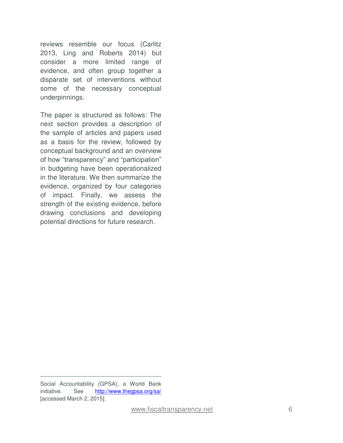reviews resemble our focus (Carlitz 2013, Ling and Roberts 2014) but consider a more limited range of evidence, and often group together a disparate set of interventions without some of the necessary conceptual underpinnings.

The paper is structured as follows: The next section provides a description of the sample of articles and papers used as a basis for the review, followed by conceptual background and an overview of how "transparency" and "participation" in budgeting have been operationalized in the literature. We then summarize the evidence, organized by four categories of impact. Finally, we assess the strength of the existing evidence, before drawing conclusions and developing potential directions for future research.

Social Accountability (GPSA), a World Bank initiative. See <http://www.thegpsa.org/sa/> [accessed March 2, 2015].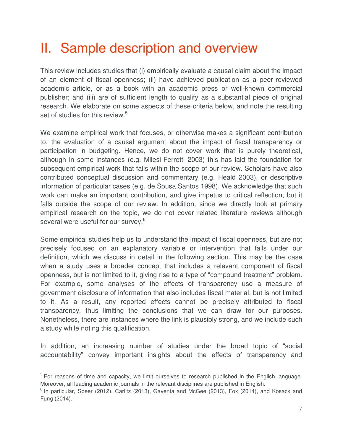# <span id="page-6-0"></span>II. Sample description and overview

This review includes studies that (i) empirically evaluate a causal claim about the impact of an element of fiscal openness; (ii) have achieved publication as a peer-reviewed academic article, or as a book with an academic press or well-known commercial publisher; and (iii) are of sufficient length to qualify as a substantial piece of original research. We elaborate on some aspects of these criteria below, and note the resulting set of studies for this review.<sup>5</sup>

We examine empirical work that focuses, or otherwise makes a significant contribution to, the evaluation of a causal argument about the impact of fiscal transparency or participation in budgeting. Hence, we do not cover work that is purely theoretical, although in some instances (e.g. Milesi-Ferretti 2003) this has laid the foundation for subsequent empirical work that falls within the scope of our review. Scholars have also contributed conceptual discussion and commentary (e.g. Heald 2003), or descriptive information of particular cases (e.g. de Sousa Santos 1998). We acknowledge that such work can make an important contribution, and give impetus to critical reflection, but it falls outside the scope of our review. In addition, since we directly look at primary empirical research on the topic, we do not cover related literature reviews although several were useful for our survey.<sup>6</sup>

Some empirical studies help us to understand the impact of fiscal openness, but are not precisely focused on an explanatory variable or intervention that falls under our definition, which we discuss in detail in the following section. This may be the case when a study uses a broader concept that includes a relevant component of fiscal openness, but is not limited to it, giving rise to a type of "compound treatment" problem. For example, some analyses of the effects of transparency use a measure of government disclosure of information that also includes fiscal material, but is not limited to it. As a result, any reported effects cannot be precisely attributed to fiscal transparency, thus limiting the conclusions that we can draw for our purposes. Nonetheless, there are instances where the link is plausibly strong, and we include such a study while noting this qualification.

In addition, an increasing number of studies under the broad topic of "social accountability" convey important insights about the effects of transparency and

<sup>&</sup>lt;sup>5</sup> For reasons of time and capacity, we limit ourselves to research published in the English language. Moreover, all leading academic journals in the relevant disciplines are published in English.

 $<sup>6</sup>$  In particular, Speer (2012), Carlitz (2013), Gaventa and McGee (2013), Fox (2014), and Kosack and</sup> Fung (2014).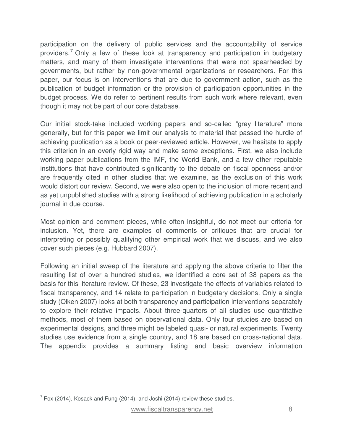participation on the delivery of public services and the accountability of service providers.<sup>7</sup> Only a few of these look at transparency and participation in budgetary matters, and many of them investigate interventions that were not spearheaded by governments, but rather by non-governmental organizations or researchers. For this paper, our focus is on interventions that are due to government action, such as the publication of budget information or the provision of participation opportunities in the budget process. We do refer to pertinent results from such work where relevant, even though it may not be part of our core database.

Our initial stock-take included working papers and so-called "grey literature" more generally, but for this paper we limit our analysis to material that passed the hurdle of achieving publication as a book or peer-reviewed article. However, we hesitate to apply this criterion in an overly rigid way and make some exceptions. First, we also include working paper publications from the IMF, the World Bank, and a few other reputable institutions that have contributed significantly to the debate on fiscal openness and/or are frequently cited in other studies that we examine, as the exclusion of this work would distort our review. Second, we were also open to the inclusion of more recent and as yet unpublished studies with a strong likelihood of achieving publication in a scholarly journal in due course.

Most opinion and comment pieces, while often insightful, do not meet our criteria for inclusion. Yet, there are examples of comments or critiques that are crucial for interpreting or possibly qualifying other empirical work that we discuss, and we also cover such pieces (e.g. Hubbard 2007).

Following an initial sweep of the literature and applying the above criteria to filter the resulting list of over a hundred studies, we identified a core set of 38 papers as the basis for this literature review. Of these, 23 investigate the effects of variables related to fiscal transparency, and 14 relate to participation in budgetary decisions. Only a single study (Olken 2007) looks at both transparency and participation interventions separately to explore their relative impacts. About three-quarters of all studies use quantitative methods, most of them based on observational data. Only four studies are based on experimental designs, and three might be labeled quasi- or natural experiments. Twenty studies use evidence from a single country, and 18 are based on cross-national data. The appendix provides a summary listing and basic overview information

 $7$  Fox (2014), Kosack and Fung (2014), and Joshi (2014) review these studies.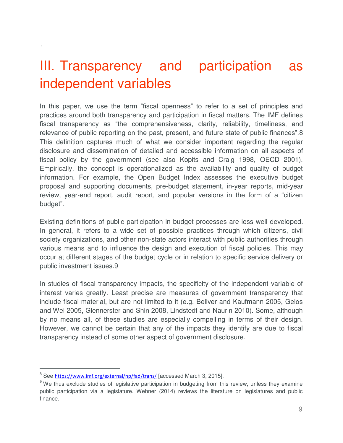# <span id="page-8-0"></span>III. Transparency and participation as independent variables

.

 $\overline{a}$ 

In this paper, we use the term "fiscal openness" to refer to a set of principles and practices around both transparency and participation in fiscal matters. The IMF defines fiscal transparency as "the comprehensiveness, clarity, reliability, timeliness, and relevance of public reporting on the past, present, and future state of public finances".8 This definition captures much of what we consider important regarding the regular disclosure and dissemination of detailed and accessible information on all aspects of fiscal policy by the government (see also Kopits and Craig 1998, OECD 2001). Empirically, the concept is operationalized as the availability and quality of budget information. For example, the Open Budget Index assesses the executive budget proposal and supporting documents, pre-budget statement, in-year reports, mid-year review, year-end report, audit report, and popular versions in the form of a "citizen budget".

Existing definitions of public participation in budget processes are less well developed. In general, it refers to a wide set of possible practices through which citizens, civil society organizations, and other non-state actors interact with public authorities through various means and to influence the design and execution of fiscal policies. This may occur at different stages of the budget cycle or in relation to specific service delivery or public investment issues.9

In studies of fiscal transparency impacts, the specificity of the independent variable of interest varies greatly. Least precise are measures of government transparency that include fiscal material, but are not limited to it (e.g. Bellver and Kaufmann 2005, Gelos and Wei 2005, Glennerster and Shin 2008, Lindstedt and Naurin 2010). Some, although by no means all, of these studies are especially compelling in terms of their design. However, we cannot be certain that any of the impacts they identify are due to fiscal transparency instead of some other aspect of government disclosure.

<sup>&</sup>lt;sup>8</sup> See <u><https://www.imf.org/external/np/fad/trans/></u> [accessed March 3, 2015].

<sup>&</sup>lt;sup>9</sup> We thus exclude studies of legislative participation in budgeting from this review, unless they examine public participation via a legislature. Wehner (2014) reviews the literature on legislatures and public finance.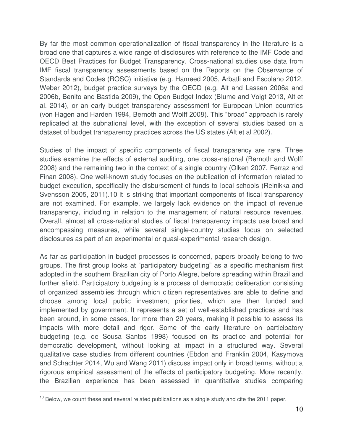By far the most common operationalization of fiscal transparency in the literature is a broad one that captures a wide range of disclosures with reference to the IMF Code and OECD Best Practices for Budget Transparency. Cross-national studies use data from IMF fiscal transparency assessments based on the Reports on the Observance of Standards and Codes (ROSC) initiative (e.g. Hameed 2005, Arbatli and Escolano 2012, Weber 2012), budget practice surveys by the OECD (e.g. Alt and Lassen 2006a and 2006b, Benito and Bastida 2009), the Open Budget Index (Blume and Voigt 2013, Alt et al. 2014), or an early budget transparency assessment for European Union countries (von Hagen and Harden 1994, Bernoth and Wolff 2008). This "broad" approach is rarely replicated at the subnational level, with the exception of several studies based on a dataset of budget transparency practices across the US states (Alt et al 2002).

Studies of the impact of specific components of fiscal transparency are rare. Three studies examine the effects of external auditing, one cross-national (Bernoth and Wolff 2008) and the remaining two in the context of a single country (Olken 2007, Ferraz and Finan 2008). One well-known study focuses on the publication of information related to budget execution, specifically the disbursement of funds to local schools (Reinikka and Svensson 2005, 2011).10 It is striking that important components of fiscal transparency are not examined. For example, we largely lack evidence on the impact of revenue transparency, including in relation to the management of natural resource revenues. Overall, almost all cross-national studies of fiscal transparency impacts use broad and encompassing measures, while several single-country studies focus on selected disclosures as part of an experimental or quasi-experimental research design.

As far as participation in budget processes is concerned, papers broadly belong to two groups. The first group looks at "participatory budgeting" as a specific mechanism first adopted in the southern Brazilian city of Porto Alegre, before spreading within Brazil and further afield. Participatory budgeting is a process of democratic deliberation consisting of organized assemblies through which citizen representatives are able to define and choose among local public investment priorities, which are then funded and implemented by government. It represents a set of well-established practices and has been around, in some cases, for more than 20 years, making it possible to assess its impacts with more detail and rigor. Some of the early literature on participatory budgeting (e.g. de Sousa Santos 1998) focused on its practice and potential for democratic development, without looking at impact in a structured way. Several qualitative case studies from different countries (Ebdon and Franklin 2004, Kasymova and Schachter 2014, Wu and Wang 2011) discuss impact only in broad terms, without a rigorous empirical assessment of the effects of participatory budgeting. More recently, the Brazilian experience has been assessed in quantitative studies comparing

 $10$  Below, we count these and several related publications as a single study and cite the 2011 paper.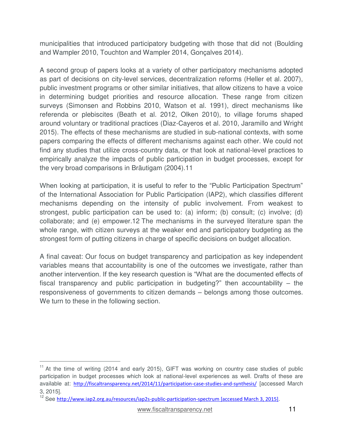municipalities that introduced participatory budgeting with those that did not (Boulding and Wampler 2010, Touchton and Wampler 2014, Gonçalves 2014).

A second group of papers looks at a variety of other participatory mechanisms adopted as part of decisions on city-level services, decentralization reforms (Heller et al. 2007), public investment programs or other similar initiatives, that allow citizens to have a voice in determining budget priorities and resource allocation. These range from citizen surveys (Simonsen and Robbins 2010, Watson et al. 1991), direct mechanisms like referenda or plebiscites (Beath et al. 2012, Olken 2010), to village forums shaped around voluntary or traditional practices (Diaz-Cayeros et al. 2010, Jaramillo and Wright 2015). The effects of these mechanisms are studied in sub-national contexts, with some papers comparing the effects of different mechanisms against each other. We could not find any studies that utilize cross-country data, or that look at national-level practices to empirically analyze the impacts of public participation in budget processes, except for the very broad comparisons in Bräutigam (2004).11

When looking at participation, it is useful to refer to the "Public Participation Spectrum" of the International Association for Public Participation (IAP2), which classifies different mechanisms depending on the intensity of public involvement. From weakest to strongest, public participation can be used to: (a) inform; (b) consult; (c) involve; (d) collaborate; and (e) empower.12 The mechanisms in the surveyed literature span the whole range, with citizen surveys at the weaker end and participatory budgeting as the strongest form of putting citizens in charge of specific decisions on budget allocation.

A final caveat: Our focus on budget transparency and participation as key independent variables means that accountability is one of the outcomes we investigate, rather than another intervention. If the key research question is "What are the documented effects of fiscal transparency and public participation in budgeting?" then accountability – the responsiveness of governments to citizen demands – belongs among those outcomes. We turn to these in the following section.

 $11$  At the time of writing (2014 and early 2015), GIFT was working on country case studies of public participation in budget processes which look at national-level experiences as well. Drafts of these are available at: <http://fiscaltransparency.net/2014/11/participation-case-studies-and-synthesis/> [accessed March 3, 2015].

<sup>&</sup>lt;sup>12</sup> See <http://www.iap2.org.au/resources/iap2s-public-participation-spectrum>[accessed March 3, 2015].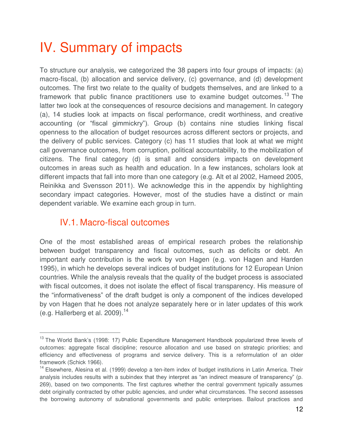# <span id="page-11-0"></span>IV. Summary of impacts

To structure our analysis, we categorized the 38 papers into four groups of impacts: (a) macro-fiscal, (b) allocation and service delivery, (c) governance, and (d) development outcomes. The first two relate to the quality of budgets themselves, and are linked to a framework that public finance practitioners use to examine budget outcomes.<sup>13</sup> The latter two look at the consequences of resource decisions and management. In category (a), 14 studies look at impacts on fiscal performance, credit worthiness, and creative accounting (or "fiscal gimmickry"). Group (b) contains nine studies linking fiscal openness to the allocation of budget resources across different sectors or projects, and the delivery of public services. Category (c) has 11 studies that look at what we might call governance outcomes, from corruption, political accountability, to the mobilization of citizens. The final category (d) is small and considers impacts on development outcomes in areas such as health and education. In a few instances, scholars look at different impacts that fall into more than one category (e.g. Alt et al 2002, Hameed 2005, Reinikka and Svensson 2011). We acknowledge this in the appendix by highlighting secondary impact categories. However, most of the studies have a distinct or main dependent variable. We examine each group in turn.

#### IV.1. Macro-fiscal outcomes

 $\overline{a}$ 

<span id="page-11-1"></span>One of the most established areas of empirical research probes the relationship between budget transparency and fiscal outcomes, such as deficits or debt. An important early contribution is the work by von Hagen (e.g. von Hagen and Harden 1995), in which he develops several indices of budget institutions for 12 European Union countries. While the analysis reveals that the quality of the budget process is associated with fiscal outcomes, it does not isolate the effect of fiscal transparency. His measure of the "informativeness" of the draft budget is only a component of the indices developed by von Hagen that he does not analyze separately here or in later updates of this work (e.g. Hallerberg et al. 2009).<sup>14</sup>

<sup>&</sup>lt;sup>13</sup> The World Bank's (1998: 17) Public Expenditure Management Handbook popularized three levels of outcomes: aggregate fiscal discipline; resource allocation and use based on strategic priorities; and efficiency and effectiveness of programs and service delivery. This is a reformulation of an older framework (Schick 1966).

<sup>&</sup>lt;sup>14</sup> Elsewhere, Alesina et al. (1999) develop a ten-item index of budget institutions in Latin America. Their analysis includes results with a subindex that they interpret as "an indirect measure of transparency" (p. 269), based on two components. The first captures whether the central government typically assumes debt originally contracted by other public agencies, and under what circumstances. The second assesses the borrowing autonomy of subnational governments and public enterprises. Bailout practices and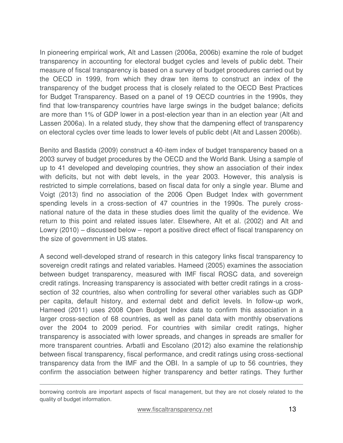In pioneering empirical work, Alt and Lassen (2006a, 2006b) examine the role of budget transparency in accounting for electoral budget cycles and levels of public debt. Their measure of fiscal transparency is based on a survey of budget procedures carried out by the OECD in 1999, from which they draw ten items to construct an index of the transparency of the budget process that is closely related to the OECD Best Practices for Budget Transparency. Based on a panel of 19 OECD countries in the 1990s, they find that low-transparency countries have large swings in the budget balance; deficits are more than 1% of GDP lower in a post-election year than in an election year (Alt and Lassen 2006a). In a related study, they show that the dampening effect of transparency on electoral cycles over time leads to lower levels of public debt (Alt and Lassen 2006b).

Benito and Bastida (2009) construct a 40-item index of budget transparency based on a 2003 survey of budget procedures by the OECD and the World Bank. Using a sample of up to 41 developed and developing countries, they show an association of their index with deficits, but not with debt levels, in the year 2003. However, this analysis is restricted to simple correlations, based on fiscal data for only a single year. Blume and Voigt (2013) find no association of the 2006 Open Budget Index with government spending levels in a cross-section of 47 countries in the 1990s. The purely crossnational nature of the data in these studies does limit the quality of the evidence. We return to this point and related issues later. Elsewhere, Alt et al. (2002) and Alt and Lowry (2010) – discussed below – report a positive direct effect of fiscal transparency on the size of government in US states.

A second well-developed strand of research in this category links fiscal transparency to sovereign credit ratings and related variables. Hameed (2005) examines the association between budget transparency, measured with IMF fiscal ROSC data, and sovereign credit ratings. Increasing transparency is associated with better credit ratings in a crosssection of 32 countries, also when controlling for several other variables such as GDP per capita, default history, and external debt and deficit levels. In follow-up work, Hameed (2011) uses 2008 Open Budget Index data to confirm this association in a larger cross-section of 68 countries, as well as panel data with monthly observations over the 2004 to 2009 period. For countries with similar credit ratings, higher transparency is associated with lower spreads, and changes in spreads are smaller for more transparent countries. Arbatli and Escolano (2012) also examine the relationship between fiscal transparency, fiscal performance, and credit ratings using cross-sectional transparency data from the IMF and the OBI. In a sample of up to 56 countries, they confirm the association between higher transparency and better ratings. They further

borrowing controls are important aspects of fiscal management, but they are not closely related to the quality of budget information.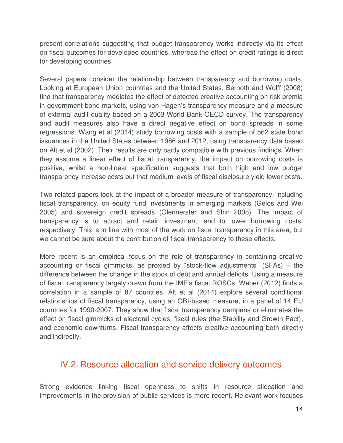present correlations suggesting that budget transparency works indirectly via its effect on fiscal outcomes for developed countries, whereas the effect on credit ratings is direct for developing countries.

Several papers consider the relationship between transparency and borrowing costs. Looking at European Union countries and the United States, Bernoth and Wolff (2008) find that transparency mediates the effect of detected creative accounting on risk premia in government bond markets, using von Hagen's transparency measure and a measure of external audit quality based on a 2003 World Bank-OECD survey. The transparency and audit measures also have a direct negative effect on bond spreads in some regressions. Wang et al (2014) study borrowing costs with a sample of 562 state bond issuances in the United States between 1986 and 2012, using transparency data based on Alt et al (2002). Their results are only partly compatible with previous findings. When they assume a linear effect of fiscal transparency, the impact on borrowing costs is positive, whilst a non-linear specification suggests that both high and low budget transparency increase costs but that medium levels of fiscal disclosure yield lower costs.

Two related papers look at the impact of a broader measure of transparency, including fiscal transparency, on equity fund investments in emerging markets (Gelos and Wei 2005) and sovereign credit spreads (Glennerster and Shin 2008). The impact of transparency is to attract and retain investment, and to lower borrowing costs, respectively. This is in line with most of the work on fiscal transparency in this area, but we cannot be sure about the contribution of fiscal transparency to these effects.

More recent is an empirical focus on the role of transparency in containing creative accounting or fiscal gimmicks, as proxied by "stock-flow adjustments" (SFAs) – the difference between the change in the stock of debt and annual deficits. Using a measure of fiscal transparency largely drawn from the IMF's fiscal ROSCs, Weber (2012) finds a correlation in a sample of 87 countries. Alt et al (2014) explore several conditional relationships of fiscal transparency, using an OBI-based measure, in a panel of 14 EU countries for 1990-2007. They show that fiscal transparency dampens or eliminates the effect on fiscal gimmicks of electoral cycles, fiscal rules (the Stability and Growth Pact), and economic downturns. Fiscal transparency affects creative accounting both directly and indirectly.

#### <span id="page-13-0"></span>IV.2. Resource allocation and service delivery outcomes

Strong evidence linking fiscal openness to shifts in resource allocation and improvements in the provision of public services is more recent. Relevant work focuses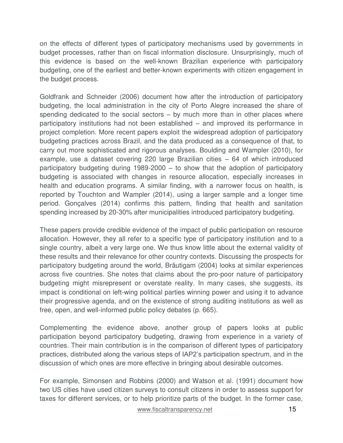on the effects of different types of participatory mechanisms used by governments in budget processes, rather than on fiscal information disclosure. Unsurprisingly, much of this evidence is based on the well-known Brazilian experience with participatory budgeting, one of the earliest and better-known experiments with citizen engagement in the budget process.

Goldfrank and Schneider (2006) document how after the introduction of participatory budgeting, the local administration in the city of Porto Alegre increased the share of spending dedicated to the social sectors – by much more than in other places where participatory institutions had not been established – and improved its performance in project completion. More recent papers exploit the widespread adoption of participatory budgeting practices across Brazil, and the data produced as a consequence of that, to carry out more sophisticated and rigorous analyses. Boulding and Wampler (2010), for example, use a dataset covering 220 large Brazilian cities – 64 of which introduced participatory budgeting during 1989-2000 – to show that the adoption of participatory budgeting is associated with changes in resource allocation, especially increases in health and education programs. A similar finding, with a narrower focus on health, is reported by Touchton and Wampler (2014), using a larger sample and a longer time period. Gonçalves (2014) confirms this pattern, finding that health and sanitation spending increased by 20-30% after municipalities introduced participatory budgeting.

These papers provide credible evidence of the impact of public participation on resource allocation. However, they all refer to a specific type of participatory institution and to a single country, albeit a very large one. We thus know little about the external validity of these results and their relevance for other country contexts. Discussing the prospects for participatory budgeting around the world, Bräutigam (2004) looks at similar experiences across five countries. She notes that claims about the pro-poor nature of participatory budgeting might misrepresent or overstate reality. In many cases, she suggests, its impact is conditional on left-wing political parties winning power and using it to advance their progressive agenda, and on the existence of strong auditing institutions as well as free, open, and well-informed public policy debates (p. 665).

Complementing the evidence above, another group of papers looks at public participation beyond participatory budgeting, drawing from experience in a variety of countries. Their main contribution is in the comparison of different types of participatory practices, distributed along the various steps of IAP2's participation spectrum, and in the discussion of which ones are more effective in bringing about desirable outcomes.

For example, Simonsen and Robbins (2000) and Watson et al. (1991) document how two US cities have used citizen surveys to consult citizens in order to assess support for taxes for different services, or to help prioritize parts of the budget. In the former case,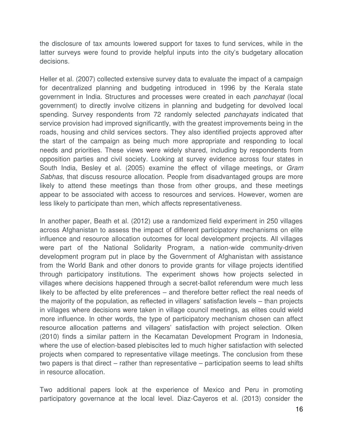the disclosure of tax amounts lowered support for taxes to fund services, while in the latter surveys were found to provide helpful inputs into the city's budgetary allocation decisions.

Heller et al. (2007) collected extensive survey data to evaluate the impact of a campaign for decentralized planning and budgeting introduced in 1996 by the Kerala state government in India. Structures and processes were created in each *panchayat* (local government) to directly involve citizens in planning and budgeting for devolved local spending. Survey respondents from 72 randomly selected *panchayats* indicated that service provision had improved significantly, with the greatest improvements being in the roads, housing and child services sectors. They also identified projects approved after the start of the campaign as being much more appropriate and responding to local needs and priorities. These views were widely shared, including by respondents from opposition parties and civil society. Looking at survey evidence across four states in South India, Besley et al. (2005) examine the effect of village meetings, or *Gram Sabhas*, that discuss resource allocation. People from disadvantaged groups are more likely to attend these meetings than those from other groups, and these meetings appear to be associated with access to resources and services. However, women are less likely to participate than men, which affects representativeness.

In another paper, Beath et al. (2012) use a randomized field experiment in 250 villages across Afghanistan to assess the impact of different participatory mechanisms on elite influence and resource allocation outcomes for local development projects. All villages were part of the National Solidarity Program, a nation-wide community-driven development program put in place by the Government of Afghanistan with assistance from the World Bank and other donors to provide grants for village projects identified through participatory institutions. The experiment shows how projects selected in villages where decisions happened through a secret-ballot referendum were much less likely to be affected by elite preferences – and therefore better reflect the real needs of the majority of the population, as reflected in villagers' satisfaction levels – than projects in villages where decisions were taken in village council meetings, as elites could wield more influence. In other words, the type of participatory mechanism chosen can affect resource allocation patterns and villagers' satisfaction with project selection. Olken (2010) finds a similar pattern in the Kecamatan Development Program in Indonesia, where the use of election-based plebiscites led to much higher satisfaction with selected projects when compared to representative village meetings. The conclusion from these two papers is that direct – rather than representative – participation seems to lead shifts in resource allocation.

Two additional papers look at the experience of Mexico and Peru in promoting participatory governance at the local level. Diaz-Cayeros et al. (2013) consider the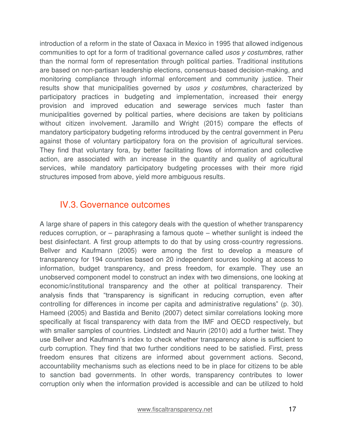introduction of a reform in the state of Oaxaca in Mexico in 1995 that allowed indigenous communities to opt for a form of traditional governance called *usos y costumbres*, rather than the normal form of representation through political parties. Traditional institutions are based on non-partisan leadership elections, consensus-based decision-making, and monitoring compliance through informal enforcement and community justice. Their results show that municipalities governed by *usos y costumbres*, characterized by participatory practices in budgeting and implementation, increased their energy provision and improved education and sewerage services much faster than municipalities governed by political parties, where decisions are taken by politicians without citizen involvement. Jaramillo and Wright (2015) compare the effects of mandatory participatory budgeting reforms introduced by the central government in Peru against those of voluntary participatory fora on the provision of agricultural services. They find that voluntary fora, by better facilitating flows of information and collective action, are associated with an increase in the quantity and quality of agricultural services, while mandatory participatory budgeting processes with their more rigid structures imposed from above, yield more ambiguous results.

#### <span id="page-16-0"></span>IV.3. Governance outcomes

A large share of papers in this category deals with the question of whether transparency reduces corruption, or – paraphrasing a famous quote – whether sunlight is indeed the best disinfectant. A first group attempts to do that by using cross-country regressions. Bellver and Kaufmann (2005) were among the first to develop a measure of transparency for 194 countries based on 20 independent sources looking at access to information, budget transparency, and press freedom, for example. They use an unobserved component model to construct an index with two dimensions, one looking at economic/institutional transparency and the other at political transparency. Their analysis finds that "transparency is significant in reducing corruption, even after controlling for differences in income per capita and administrative regulations" (p. 30). Hameed (2005) and Bastida and Benito (2007) detect similar correlations looking more specifically at fiscal transparency with data from the IMF and OECD respectively, but with smaller samples of countries. Lindstedt and Naurin (2010) add a further twist. They use Bellver and Kaufmann's index to check whether transparency alone is sufficient to curb corruption. They find that two further conditions need to be satisfied. First, press freedom ensures that citizens are informed about government actions. Second, accountability mechanisms such as elections need to be in place for citizens to be able to sanction bad governments. In other words, transparency contributes to lower corruption only when the information provided is accessible and can be utilized to hold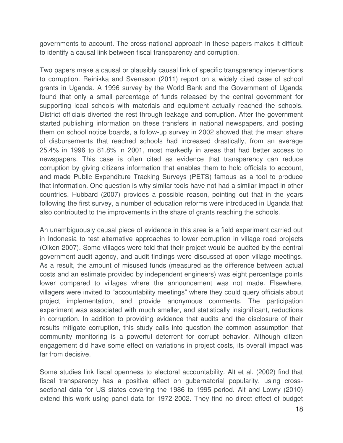governments to account. The cross-national approach in these papers makes it difficult to identify a causal link between fiscal transparency and corruption.

Two papers make a causal or plausibly causal link of specific transparency interventions to corruption. Reinikka and Svensson (2011) report on a widely cited case of school grants in Uganda. A 1996 survey by the World Bank and the Government of Uganda found that only a small percentage of funds released by the central government for supporting local schools with materials and equipment actually reached the schools. District officials diverted the rest through leakage and corruption. After the government started publishing information on these transfers in national newspapers, and posting them on school notice boards, a follow-up survey in 2002 showed that the mean share of disbursements that reached schools had increased drastically, from an average 25.4% in 1996 to 81.8% in 2001, most markedly in areas that had better access to newspapers. This case is often cited as evidence that transparency can reduce corruption by giving citizens information that enables them to hold officials to account, and made Public Expenditure Tracking Surveys (PETS) famous as a tool to produce that information. One question is why similar tools have not had a similar impact in other countries. Hubbard (2007) provides a possible reason, pointing out that in the years following the first survey, a number of education reforms were introduced in Uganda that also contributed to the improvements in the share of grants reaching the schools.

An unambiguously causal piece of evidence in this area is a field experiment carried out in Indonesia to test alternative approaches to lower corruption in village road projects (Olken 2007). Some villages were told that their project would be audited by the central government audit agency, and audit findings were discussed at open village meetings. As a result, the amount of misused funds (measured as the difference between actual costs and an estimate provided by independent engineers) was eight percentage points lower compared to villages where the announcement was not made. Elsewhere, villagers were invited to "accountability meetings" where they could query officials about project implementation, and provide anonymous comments. The participation experiment was associated with much smaller, and statistically insignificant, reductions in corruption. In addition to providing evidence that audits and the disclosure of their results mitigate corruption, this study calls into question the common assumption that community monitoring is a powerful deterrent for corrupt behavior. Although citizen engagement did have some effect on variations in project costs, its overall impact was far from decisive.

Some studies link fiscal openness to electoral accountability. Alt et al. (2002) find that fiscal transparency has a positive effect on gubernatorial popularity, using crosssectional data for US states covering the 1986 to 1995 period. Alt and Lowry (2010) extend this work using panel data for 1972-2002. They find no direct effect of budget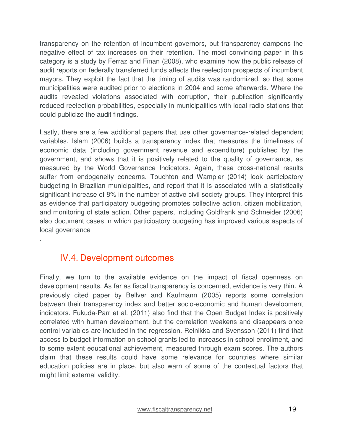transparency on the retention of incumbent governors, but transparency dampens the negative effect of tax increases on their retention. The most convincing paper in this category is a study by Ferraz and Finan (2008), who examine how the public release of audit reports on federally transferred funds affects the reelection prospects of incumbent mayors. They exploit the fact that the timing of audits was randomized, so that some municipalities were audited prior to elections in 2004 and some afterwards. Where the audits revealed violations associated with corruption, their publication significantly reduced reelection probabilities, especially in municipalities with local radio stations that could publicize the audit findings.

Lastly, there are a few additional papers that use other governance-related dependent variables. Islam (2006) builds a transparency index that measures the timeliness of economic data (including government revenue and expenditure) published by the government, and shows that it is positively related to the quality of governance, as measured by the World Governance Indicators. Again, these cross-national results suffer from endogeneity concerns. Touchton and Wampler (2014) look participatory budgeting in Brazilian municipalities, and report that it is associated with a statistically significant increase of 8% in the number of active civil society groups. They interpret this as evidence that participatory budgeting promotes collective action, citizen mobilization, and monitoring of state action. Other papers, including Goldfrank and Schneider (2006) also document cases in which participatory budgeting has improved various aspects of local governance

#### IV.4. Development outcomes

<span id="page-18-0"></span>.

Finally, we turn to the available evidence on the impact of fiscal openness on development results. As far as fiscal transparency is concerned, evidence is very thin. A previously cited paper by Bellver and Kaufmann (2005) reports some correlation between their transparency index and better socio-economic and human development indicators. Fukuda-Parr et al. (2011) also find that the Open Budget Index is positively correlated with human development, but the correlation weakens and disappears once control variables are included in the regression. Reinikka and Svensson (2011) find that access to budget information on school grants led to increases in school enrollment, and to some extent educational achievement, measured through exam scores. The authors claim that these results could have some relevance for countries where similar education policies are in place, but also warn of some of the contextual factors that might limit external validity.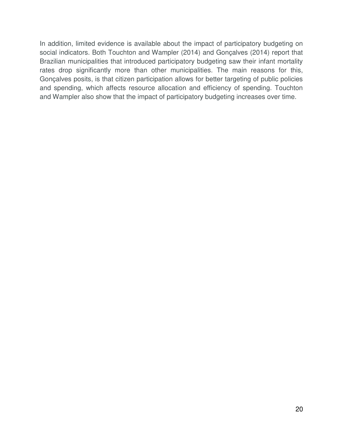In addition, limited evidence is available about the impact of participatory budgeting on social indicators. Both Touchton and Wampler (2014) and Gonçalves (2014) report that Brazilian municipalities that introduced participatory budgeting saw their infant mortality rates drop significantly more than other municipalities. The main reasons for this, Gonçalves posits, is that citizen participation allows for better targeting of public policies and spending, which affects resource allocation and efficiency of spending. Touchton and Wampler also show that the impact of participatory budgeting increases over time.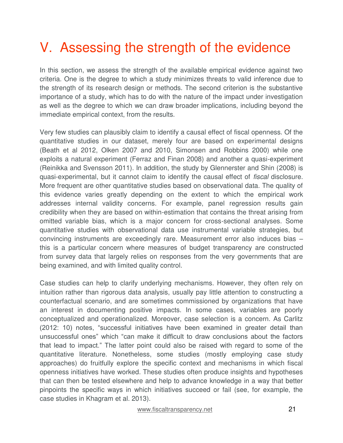# <span id="page-20-0"></span>V. Assessing the strength of the evidence

In this section, we assess the strength of the available empirical evidence against two criteria. One is the degree to which a study minimizes threats to valid inference due to the strength of its research design or methods. The second criterion is the substantive importance of a study, which has to do with the nature of the impact under investigation as well as the degree to which we can draw broader implications, including beyond the immediate empirical context, from the results.

Very few studies can plausibly claim to identify a causal effect of fiscal openness. Of the quantitative studies in our dataset, merely four are based on experimental designs (Beath et al 2012, Olken 2007 and 2010, Simonsen and Robbins 2000) while one exploits a natural experiment (Ferraz and Finan 2008) and another a quasi-experiment (Reinikka and Svensson 2011). In addition, the study by Glennerster and Shin (2008) is quasi-experimental, but it cannot claim to identify the causal effect of *fiscal* disclosure. More frequent are other quantitative studies based on observational data. The quality of this evidence varies greatly depending on the extent to which the empirical work addresses internal validity concerns. For example, panel regression results gain credibility when they are based on within-estimation that contains the threat arising from omitted variable bias, which is a major concern for cross-sectional analyses. Some quantitative studies with observational data use instrumental variable strategies, but convincing instruments are exceedingly rare. Measurement error also induces bias – this is a particular concern where measures of budget transparency are constructed from survey data that largely relies on responses from the very governments that are being examined, and with limited quality control.

Case studies can help to clarify underlying mechanisms. However, they often rely on intuition rather than rigorous data analysis, usually pay little attention to constructing a counterfactual scenario, and are sometimes commissioned by organizations that have an interest in documenting positive impacts. In some cases, variables are poorly conceptualized and operationalized. Moreover, case selection is a concern. As Carlitz (2012: 10) notes, "successful initiatives have been examined in greater detail than unsuccessful ones" which "can make it difficult to draw conclusions about the factors that lead to impact." The latter point could also be raised with regard to some of the quantitative literature. Nonetheless, some studies (mostly employing case study approaches) do fruitfully explore the specific context and mechanisms in which fiscal openness initiatives have worked. These studies often produce insights and hypotheses that can then be tested elsewhere and help to advance knowledge in a way that better pinpoints the specific ways in which initiatives succeed or fail (see, for example, the case studies in Khagram et al. 2013).

www.fiscaltransparency.net 21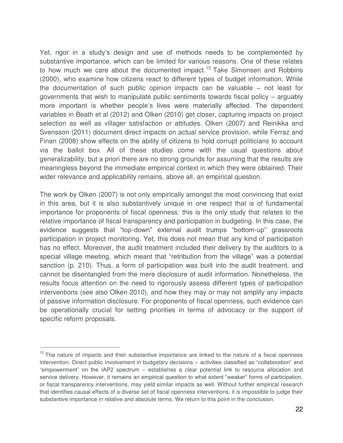Yet, rigor in a study's design and use of methods needs to be complemented by substantive importance, which can be limited for various reasons. One of these relates to how much we care about the documented impact.<sup>15</sup> Take Simonsen and Robbins (2000), who examine how citizens react to different types of budget information. While the documentation of such public opinion impacts can be valuable – not least for governments that wish to manipulate public sentiments towards fiscal policy – arguably more important is whether people's lives were materially affected. The dependent variables in Beath et al (2012) and Olken (2010) get closer, capturing impacts on project selection as well as villager satisfaction or attitudes. Olken (2007) and Reinikka and Svensson (2011) document direct impacts on actual service provision, while Ferraz and Finan (2008) show effects on the ability of citizens to hold corrupt politicians to account via the ballot box. All of these studies come with the usual questions about generalizability, but a priori there are no strong grounds for assuming that the results are meaningless beyond the immediate empirical context in which they were obtained. Their wider relevance and applicability remains, above all, an empirical question.

The work by Olken (2007) is not only empirically amongst the most convincing that exist in this area, but it is also substantively unique in one respect that is of fundamental importance for proponents of fiscal openness: this is the only study that relates to the relative importance of fiscal transparency and participation in budgeting. In this case, the evidence suggests that "top-down" external audit trumps "bottom-up" grassroots participation in project monitoring. Yet, this does not mean that any kind of participation has no effect. Moreover, the audit treatment included their delivery by the auditors to a special village meeting, which meant that "retribution from the village" was a potential sanction (p. 210). Thus, a form of participation was built into the audit treatment, and cannot be disentangled from the mere disclosure of audit information. Nonetheless, the results focus attention on the need to rigorously assess different types of participation interventions (see also Olken 2010), and how they may or may not amplify any impacts of passive information disclosure. For proponents of fiscal openness, such evidence can be operationally crucial for setting priorities in terms of advocacy or the support of specific reform proposals.

 $15$  The nature of impacts and their substantive importance are linked to the nature of a fiscal openness intervention. Direct public involvement in budgetary decisions – activities classified as "collaboration" and "empowerment" on the IAP2 spectrum – establishes a clear potential link to resource allocation and service delivery. However, it remains an empirical question to what extent "weaker" forms of participation, or fiscal transparency interventions, may yield similar impacts as well. Without further empirical research that identifies causal effects of a diverse set of fiscal openness interventions, it is impossible to judge their substantive importance in relative and absolute terms. We return to this point in the conclusion.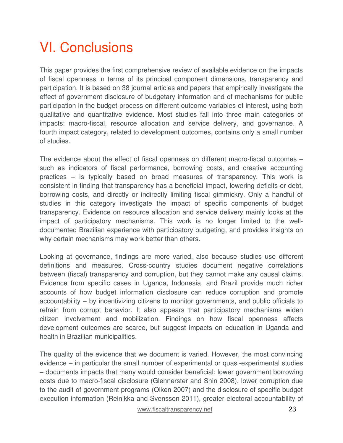# <span id="page-22-0"></span>VI. Conclusions

This paper provides the first comprehensive review of available evidence on the impacts of fiscal openness in terms of its principal component dimensions, transparency and participation. It is based on 38 journal articles and papers that empirically investigate the effect of government disclosure of budgetary information and of mechanisms for public participation in the budget process on different outcome variables of interest, using both qualitative and quantitative evidence. Most studies fall into three main categories of impacts: macro-fiscal, resource allocation and service delivery, and governance. A fourth impact category, related to development outcomes, contains only a small number of studies.

The evidence about the effect of fiscal openness on different macro-fiscal outcomes – such as indicators of fiscal performance, borrowing costs, and creative accounting practices – is typically based on broad measures of transparency. This work is consistent in finding that transparency has a beneficial impact, lowering deficits or debt, borrowing costs, and directly or indirectly limiting fiscal gimmickry. Only a handful of studies in this category investigate the impact of specific components of budget transparency. Evidence on resource allocation and service delivery mainly looks at the impact of participatory mechanisms. This work is no longer limited to the welldocumented Brazilian experience with participatory budgeting, and provides insights on why certain mechanisms may work better than others.

Looking at governance, findings are more varied, also because studies use different definitions and measures. Cross-country studies document negative correlations between (fiscal) transparency and corruption, but they cannot make any causal claims. Evidence from specific cases in Uganda, Indonesia, and Brazil provide much richer accounts of how budget information disclosure can reduce corruption and promote accountability – by incentivizing citizens to monitor governments, and public officials to refrain from corrupt behavior. It also appears that participatory mechanisms widen citizen involvement and mobilization. Findings on how fiscal openness affects development outcomes are scarce, but suggest impacts on education in Uganda and health in Brazilian municipalities.

The quality of the evidence that we document is varied. However, the most convincing evidence – in particular the small number of experimental or quasi-experimental studies – documents impacts that many would consider beneficial: lower government borrowing costs due to macro-fiscal disclosure (Glennerster and Shin 2008), lower corruption due to the audit of government programs (Olken 2007) and the disclosure of specific budget execution information (Reinikka and Svensson 2011), greater electoral accountability of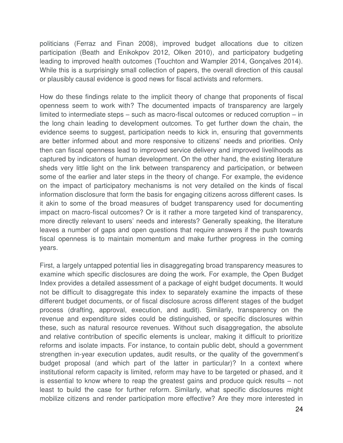politicians (Ferraz and Finan 2008), improved budget allocations due to citizen participation (Beath and Enikokpov 2012, Olken 2010), and participatory budgeting leading to improved health outcomes (Touchton and Wampler 2014, Gonçalves 2014). While this is a surprisingly small collection of papers, the overall direction of this causal or plausibly causal evidence is good news for fiscal activists and reformers.

How do these findings relate to the implicit theory of change that proponents of fiscal openness seem to work with? The documented impacts of transparency are largely limited to intermediate steps – such as macro-fiscal outcomes or reduced corruption – in the long chain leading to development outcomes. To get further down the chain, the evidence seems to suggest, participation needs to kick in, ensuring that governments are better informed about and more responsive to citizens' needs and priorities. Only then can fiscal openness lead to improved service delivery and improved livelihoods as captured by indicators of human development. On the other hand, the existing literature sheds very little light on the link between transparency and participation, or between some of the earlier and later steps in the theory of change. For example, the evidence on the impact of participatory mechanisms is not very detailed on the kinds of fiscal information disclosure that form the basis for engaging citizens across different cases. Is it akin to some of the broad measures of budget transparency used for documenting impact on macro-fiscal outcomes? Or is it rather a more targeted kind of transparency, more directly relevant to users' needs and interests? Generally speaking, the literature leaves a number of gaps and open questions that require answers if the push towards fiscal openness is to maintain momentum and make further progress in the coming years.

First, a largely untapped potential lies in disaggregating broad transparency measures to examine which specific disclosures are doing the work. For example, the Open Budget Index provides a detailed assessment of a package of eight budget documents. It would not be difficult to disaggregate this index to separately examine the impacts of these different budget documents, or of fiscal disclosure across different stages of the budget process (drafting, approval, execution, and audit). Similarly, transparency on the revenue and expenditure sides could be distinguished, or specific disclosures within these, such as natural resource revenues. Without such disaggregation, the absolute and relative contribution of specific elements is unclear, making it difficult to prioritize reforms and isolate impacts. For instance, to contain public debt, should a government strengthen in-year execution updates, audit results, or the quality of the government's budget proposal (and which part of the latter in particular)? In a context where institutional reform capacity is limited, reform may have to be targeted or phased, and it is essential to know where to reap the greatest gains and produce quick results – not least to build the case for further reform. Similarly, what specific disclosures might mobilize citizens and render participation more effective? Are they more interested in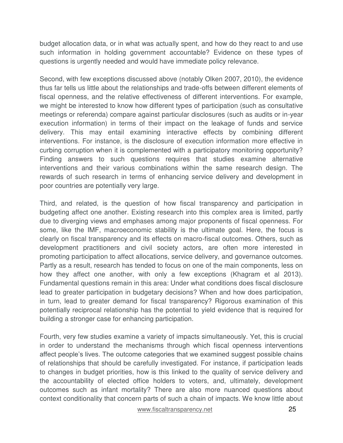budget allocation data, or in what was actually spent, and how do they react to and use such information in holding government accountable? Evidence on these types of questions is urgently needed and would have immediate policy relevance.

Second, with few exceptions discussed above (notably Olken 2007, 2010), the evidence thus far tells us little about the relationships and trade-offs between different elements of fiscal openness, and the relative effectiveness of different interventions. For example, we might be interested to know how different types of participation (such as consultative meetings or referenda) compare against particular disclosures (such as audits or in-year execution information) in terms of their impact on the leakage of funds and service delivery. This may entail examining interactive effects by combining different interventions. For instance, is the disclosure of execution information more effective in curbing corruption when it is complemented with a participatory monitoring opportunity? Finding answers to such questions requires that studies examine alternative interventions and their various combinations within the same research design. The rewards of such research in terms of enhancing service delivery and development in poor countries are potentially very large.

Third, and related, is the question of how fiscal transparency and participation in budgeting affect one another. Existing research into this complex area is limited, partly due to diverging views and emphases among major proponents of fiscal openness. For some, like the IMF, macroeconomic stability is the ultimate goal. Here, the focus is clearly on fiscal transparency and its effects on macro-fiscal outcomes. Others, such as development practitioners and civil society actors, are often more interested in promoting participation to affect allocations, service delivery, and governance outcomes. Partly as a result, research has tended to focus on one of the main components, less on how they affect one another, with only a few exceptions (Khagram et al 2013). Fundamental questions remain in this area: Under what conditions does fiscal disclosure lead to greater participation in budgetary decisions? When and how does participation, in turn, lead to greater demand for fiscal transparency? Rigorous examination of this potentially reciprocal relationship has the potential to yield evidence that is required for building a stronger case for enhancing participation.

Fourth, very few studies examine a variety of impacts simultaneously. Yet, this is crucial in order to understand the mechanisms through which fiscal openness interventions affect people's lives. The outcome categories that we examined suggest possible chains of relationships that should be carefully investigated. For instance, if participation leads to changes in budget priorities, how is this linked to the quality of service delivery and the accountability of elected office holders to voters, and, ultimately, development outcomes such as infant mortality? There are also more nuanced questions about context conditionality that concern parts of such a chain of impacts. We know little about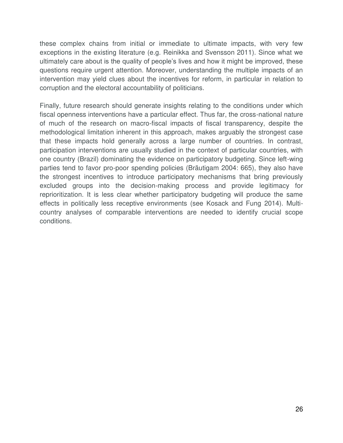these complex chains from initial or immediate to ultimate impacts, with very few exceptions in the existing literature (e.g. Reinikka and Svensson 2011). Since what we ultimately care about is the quality of people's lives and how it might be improved, these questions require urgent attention. Moreover, understanding the multiple impacts of an intervention may yield clues about the incentives for reform, in particular in relation to corruption and the electoral accountability of politicians.

Finally, future research should generate insights relating to the conditions under which fiscal openness interventions have a particular effect. Thus far, the cross-national nature of much of the research on macro-fiscal impacts of fiscal transparency, despite the methodological limitation inherent in this approach, makes arguably the strongest case that these impacts hold generally across a large number of countries. In contrast, participation interventions are usually studied in the context of particular countries, with one country (Brazil) dominating the evidence on participatory budgeting. Since left-wing parties tend to favor pro-poor spending policies (Bräutigam 2004: 665), they also have the strongest incentives to introduce participatory mechanisms that bring previously excluded groups into the decision-making process and provide legitimacy for reprioritization. It is less clear whether participatory budgeting will produce the same effects in politically less receptive environments (see Kosack and Fung 2014). Multicountry analyses of comparable interventions are needed to identify crucial scope conditions.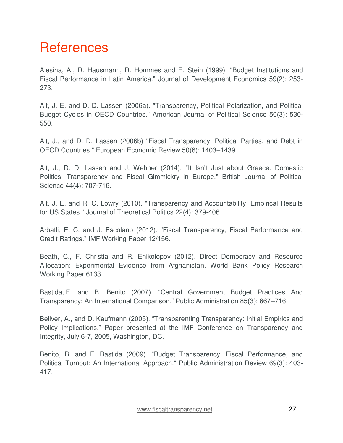### <span id="page-26-0"></span>**References**

Alesina, A., R. Hausmann, R. Hommes and E. Stein (1999). "Budget Institutions and Fiscal Performance in Latin America." Journal of Development Economics 59(2): 253- 273.

Alt, J. E. and D. D. Lassen (2006a). "Transparency, Political Polarization, and Political Budget Cycles in OECD Countries." American Journal of Political Science 50(3): 530- 550.

Alt, J., and D. D. Lassen (2006b) "Fiscal Transparency, Political Parties, and Debt in OECD Countries." European Economic Review 50(6): 1403–1439.

Alt, J., D. D. Lassen and J. Wehner (2014). "It Isn't Just about Greece: Domestic Politics, Transparency and Fiscal Gimmickry in Europe." British Journal of Political Science 44(4): 707-716.

Alt, J. E. and R. C. Lowry (2010). "Transparency and Accountability: Empirical Results for US States." Journal of Theoretical Politics 22(4): 379-406.

Arbatli, E. C. and J. Escolano (2012). "Fiscal Transparency, Fiscal Performance and Credit Ratings." IMF Working Paper 12/156.

Beath, C., F. Christia and R. Enikolopov (2012). Direct Democracy and Resource Allocation: Experimental Evidence from Afghanistan. World Bank Policy Research Working Paper 6133.

Bastida, F. and B. Benito (2007). "Central Government Budget Practices And Transparency: An International Comparison." Public Administration 85(3): 667–716.

Bellver, A., and D. Kaufmann (2005). "Transparenting Transparency: Initial Empirics and Policy Implications." Paper presented at the IMF Conference on Transparency and Integrity, July 6-7, 2005, Washington, DC.

Benito, B. and F. Bastida (2009). "Budget Transparency, Fiscal Performance, and Political Turnout: An International Approach." Public Administration Review 69(3): 403- 417.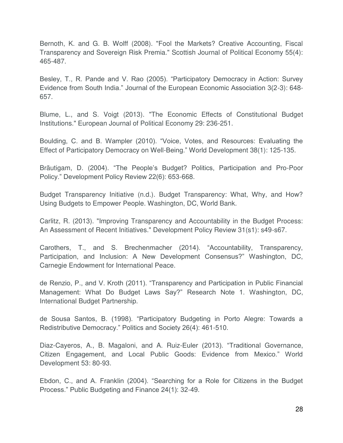Bernoth, K. and G. B. Wolff (2008). "Fool the Markets? Creative Accounting, Fiscal Transparency and Sovereign Risk Premia." Scottish Journal of Political Economy 55(4): 465-487.

Besley, T., R. Pande and V. Rao (2005). "Participatory Democracy in Action: Survey Evidence from South India." Journal of the European Economic Association 3(2-3): 648- 657.

Blume, L., and S. Voigt (2013). "The Economic Effects of Constitutional Budget Institutions." European Journal of Political Economy 29: 236-251.

Boulding, C. and B. Wampler (2010). "Voice, Votes, and Resources: Evaluating the Effect of Participatory Democracy on Well-Being." World Development 38(1): 125-135.

Bräutigam, D. (2004). "The People's Budget? Politics, Participation and Pro-Poor Policy." Development Policy Review 22(6): 653-668.

Budget Transparency Initiative (n.d.). Budget Transparency: What, Why, and How? Using Budgets to Empower People. Washington, DC, World Bank.

Carlitz, R. (2013). "Improving Transparency and Accountability in the Budget Process: An Assessment of Recent Initiatives." Development Policy Review 31(s1): s49-s67.

Carothers, T., and S. Brechenmacher (2014). "Accountability, Transparency, Participation, and Inclusion: A New Development Consensus?" Washington, DC, Carnegie Endowment for International Peace.

de Renzio, P., and V. Kroth (2011). "Transparency and Participation in Public Financial Management: What Do Budget Laws Say?" Research Note 1. Washington, DC, International Budget Partnership.

de Sousa Santos, B. (1998). "Participatory Budgeting in Porto Alegre: Towards a Redistributive Democracy." Politics and Society 26(4): 461-510.

Diaz-Cayeros, A., B. Magaloni, and A. Ruiz-Euler (2013). "Traditional Governance, Citizen Engagement, and Local Public Goods: Evidence from Mexico." World Development 53: 80-93.

Ebdon, C., and A. Franklin (2004). "Searching for a Role for Citizens in the Budget Process." Public Budgeting and Finance 24(1): 32-49.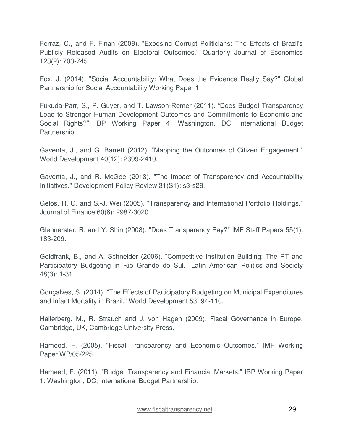Ferraz, C., and F. Finan (2008). "Exposing Corrupt Politicians: The Effects of Brazil's Publicly Released Audits on Electoral Outcomes." Quarterly Journal of Economics 123(2): 703-745.

Fox, J. (2014). "Social Accountability: What Does the Evidence Really Say?" Global Partnership for Social Accountability Working Paper 1.

Fukuda-Parr, S., P. Guyer, and T. Lawson-Remer (2011). "Does Budget Transparency Lead to Stronger Human Development Outcomes and Commitments to Economic and Social Rights?" IBP Working Paper 4. Washington, DC, International Budget Partnership.

Gaventa, J., and G. Barrett (2012). "Mapping the Outcomes of Citizen Engagement." World Development 40(12): 2399-2410.

Gaventa, J., and R. McGee (2013). "The Impact of Transparency and Accountability Initiatives." Development Policy Review 31(S1): s3-s28.

Gelos, R. G. and S.-J. Wei (2005). "Transparency and International Portfolio Holdings." Journal of Finance 60(6): 2987-3020.

Glennerster, R. and Y. Shin (2008). "Does Transparency Pay?" IMF Staff Papers 55(1): 183-209.

Goldfrank, B., and A. Schneider (2006). "Competitive Institution Building: The PT and Participatory Budgeting in Rio Grande do Sul." Latin American Politics and Society 48(3): 1-31.

Gonçalves, S. (2014). "The Effects of Participatory Budgeting on Municipal Expenditures and Infant Mortality in Brazil." World Development 53: 94-110.

Hallerberg, M., R. Strauch and J. von Hagen (2009). Fiscal Governance in Europe. Cambridge, UK, Cambridge University Press.

Hameed, F. (2005). "Fiscal Transparency and Economic Outcomes." IMF Working Paper WP/05/225.

Hameed, F. (2011). "Budget Transparency and Financial Markets." IBP Working Paper 1. Washington, DC, International Budget Partnership.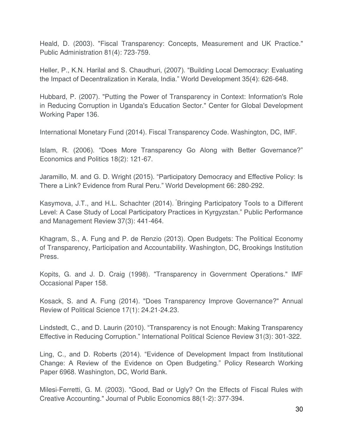Heald, D. (2003). "Fiscal Transparency: Concepts, Measurement and UK Practice." Public Administration 81(4): 723-759.

Heller, P., K.N. Harilal and S. Chaudhuri, (2007). "Building Local Democracy: Evaluating the Impact of Decentralization in Kerala, India." World Development 35(4): 626-648.

Hubbard, P. (2007). "Putting the Power of Transparency in Context: Information's Role in Reducing Corruption in Uganda's Education Sector." Center for Global Development Working Paper 136.

International Monetary Fund (2014). Fiscal Transparency Code. Washington, DC, IMF.

Islam, R. (2006). "Does More Transparency Go Along with Better Governance?" Economics and Politics 18(2): 121-67.

Jaramillo, M. and G. D. Wright (2015). "Participatory Democracy and Effective Policy: Is There a Link? Evidence from Rural Peru." World Development 66: 280-292.

Kasymova, J.T., and H.L. Schachter (2014). "Bringing Participatory Tools to a Different Level: A Case Study of Local Participatory Practices in Kyrgyzstan." Public Performance and Management Review 37(3): 441-464.

Khagram, S., A. Fung and P. de Renzio (2013). Open Budgets: The Political Economy of Transparency, Participation and Accountability. Washington, DC, Brookings Institution Press.

Kopits, G. and J. D. Craig (1998). "Transparency in Government Operations." IMF Occasional Paper 158.

Kosack, S. and A. Fung (2014). "Does Transparency Improve Governance?" Annual Review of Political Science 17(1): 24.21-24.23.

Lindstedt, C., and D. Laurin (2010). "Transparency is not Enough: Making Transparency Effective in Reducing Corruption." International Political Science Review 31(3): 301-322.

Ling, C., and D. Roberts (2014). "Evidence of Development Impact from Institutional Change: A Review of the Evidence on Open Budgeting." Policy Research Working Paper 6968. Washington, DC, World Bank.

Milesi-Ferretti, G. M. (2003). "Good, Bad or Ugly? On the Effects of Fiscal Rules with Creative Accounting." Journal of Public Economics 88(1-2): 377-394.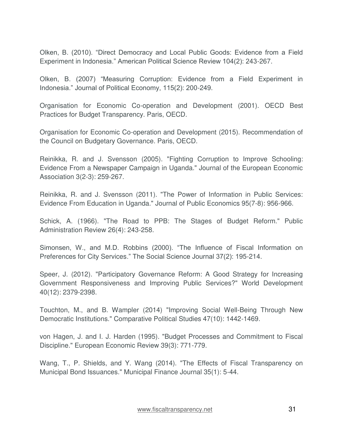Olken, B. (2010). "Direct Democracy and Local Public Goods: Evidence from a Field Experiment in Indonesia." American Political Science Review 104(2): 243-267.

Olken, B. (2007) "Measuring Corruption: Evidence from a Field Experiment in Indonesia." Journal of Political Economy, 115(2): 200-249.

Organisation for Economic Co-operation and Development (2001). OECD Best Practices for Budget Transparency. Paris, OECD.

Organisation for Economic Co-operation and Development (2015). Recommendation of the Council on Budgetary Governance. Paris, OECD.

Reinikka, R. and J. Svensson (2005). "Fighting Corruption to Improve Schooling: Evidence From a Newspaper Campaign in Uganda." Journal of the European Economic Association 3(2-3): 259-267.

Reinikka, R. and J. Svensson (2011). "The Power of Information in Public Services: Evidence From Education in Uganda." Journal of Public Economics 95(7-8): 956-966.

Schick, A. (1966). "The Road to PPB: The Stages of Budget Reform." Public Administration Review 26(4): 243-258.

Simonsen, W., and M.D. Robbins (2000). "The Influence of Fiscal Information on Preferences for City Services." The Social Science Journal 37(2): 195-214.

Speer, J. (2012). "Participatory Governance Reform: A Good Strategy for Increasing Government Responsiveness and Improving Public Services?" World Development 40(12): 2379-2398.

Touchton, M., and B. Wampler (2014) "Improving Social Well-Being Through New Democratic Institutions." Comparative Political Studies 47(10): 1442-1469.

von Hagen, J. and I. J. Harden (1995). "Budget Processes and Commitment to Fiscal Discipline." European Economic Review 39(3): 771-779.

Wang, T., P. Shields, and Y. Wang (2014). "The Effects of Fiscal Transparency on Municipal Bond Issuances." Municipal Finance Journal 35(1): 5-44.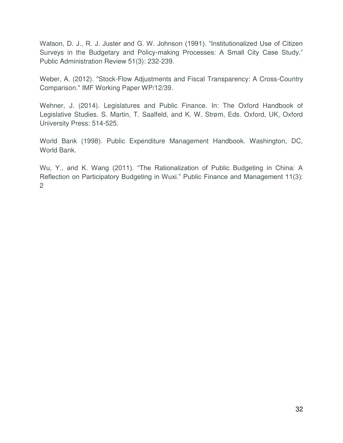Watson, D. J., R. J. Juster and G. W. Johnson (1991). "Institutionalized Use of Citizen Surveys in the Budgetary and Policy-making Processes: A Small City Case Study." Public Administration Review 51(3): 232-239.

Weber, A. (2012). "Stock-Flow Adjustments and Fiscal Transparency: A Cross-Country Comparison." IMF Working Paper WP/12/39.

Wehner, J. (2014). Legislatures and Public Finance. In: The Oxford Handbook of Legislative Studies. S. Martin, T. Saalfeld, and K. W. Strøm, Eds. Oxford, UK, Oxford University Press: 514-525.

World Bank (1998). Public Expenditure Management Handbook. Washington, DC, World Bank.

Wu, Y., and K. Wang (2011). "The Rationalization of Public Budgeting in China: A Reflection on Participatory Budgeting in Wuxi." Public Finance and Management 11(3): 2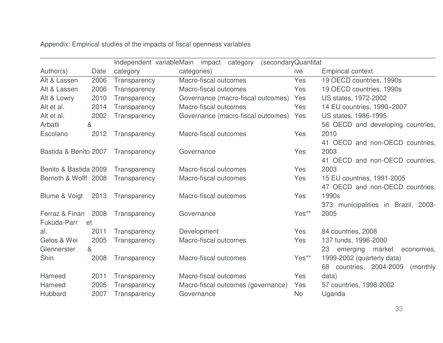Appendix: Empirical studies of the impacts of fiscal openness variables

|                       |                |              | Independent variableMain impact category<br>(secondaryQuantitat |           |                                         |
|-----------------------|----------------|--------------|-----------------------------------------------------------------|-----------|-----------------------------------------|
| Author(s)             | Date           | category     | categories)                                                     | ive       | <b>Empirical context</b>                |
| Alt & Lassen          | 2006           | Transparency | Macro-fiscal outcomes                                           | Yes       | 19 OECD countries, 1990s                |
| Alt & Lassen          | 2006           | Transparency | Macro-fiscal outcomes                                           | Yes       | 19 OECD countries, 1990s                |
| Alt & Lowry           | 2010           | Transparency | Governance (macro-fiscal outcomes)                              | Yes       | US states, 1972-2002                    |
| Alt et al.            | 2014           | Transparency | Macro-fiscal outcomes                                           | Yes       | 14 EU countries, 1990-2007              |
| Alt et al.            | 2002           | Transparency | Governance (macro-fiscal outcomes)                              | Yes       | US states, 1986-1995                    |
| Arbatli               | 8 <sub>l</sub> |              |                                                                 |           | 56 OECD and developing countries,       |
| Escolano              | 2012           | Transparency | Macro-fiscal outcomes                                           | Yes       | 2010                                    |
|                       |                |              |                                                                 |           | 41 OECD and non-OECD countries,         |
| Bastida & Benito 2007 |                | Transparency | Governance                                                      | Yes       | 2003                                    |
|                       |                |              |                                                                 |           | 41 OECD and non-OECD countries.         |
| Benito & Bastida 2009 |                | Transparency | Macro-fiscal outcomes                                           | Yes       | 2003                                    |
| Bernoth & Wolff 2008  |                | Transparency | Macro-fiscal outcomes                                           | Yes       | 15 EU countries, 1991-2005              |
|                       |                |              |                                                                 |           | 47 OECD and non-OECD countries,         |
| Blume & Voigt         | 2013           | Transparency | Macro-fiscal outcomes                                           | Yes       | 1990s                                   |
|                       |                |              |                                                                 |           | 373 municipalities in Brazil, 2003-     |
| Ferraz & Finan        | 2008           | Transparency | Governance                                                      | Yes**     | 2005                                    |
| Fukuda-Parr<br>et     |                |              |                                                                 |           |                                         |
| al.                   | 2011           | Transparency | Development                                                     | Yes       | 84 countries, 2008                      |
| Gelos & Wei           | 2005           | Transparency | Macro-fiscal outcomes                                           | Yes       | 137 funds, 1996-2000                    |
| Glennerster           | &              |              |                                                                 |           | emerging market<br>23<br>economies,     |
| Shin                  | 2008           | Transparency | Macro-fiscal outcomes                                           | Yes**     | 1999-2002 (quarterly data)              |
|                       |                |              |                                                                 |           | countries, 2004-2009<br>68<br>(monthly) |
| Hameed                | 2011           | Transparency | Macro-fiscal outcomes                                           | Yes       | data)                                   |
| Hameed                | 2005           | Transparency | Macro-fiscal outcomes (governance)                              | Yes       | 57 countries, 1998-2002                 |
| Hubbard               | 2007           | Transparency | Governance                                                      | <b>No</b> | Uganda                                  |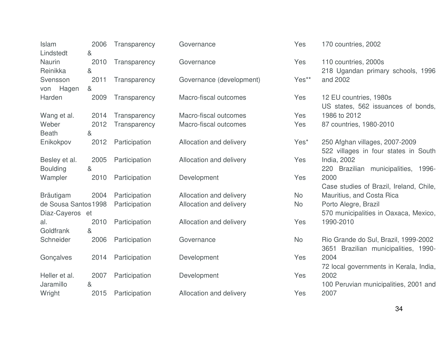| <b>Islam</b><br>Lindstedt               | 2006<br>& | Transparency  | Governance               | Yes       | 170 countries, 2002                                                             |
|-----------------------------------------|-----------|---------------|--------------------------|-----------|---------------------------------------------------------------------------------|
| Naurin<br>Reinikka                      | 2010<br>& | Transparency  | Governance               | Yes       | 110 countries, 2000s<br>218 Ugandan primary schools, 1996                       |
| Svensson<br>Hagen<br>von                | 2011<br>& | Transparency  | Governance (development) | Yes**     | and 2002                                                                        |
| Harden                                  | 2009      | Transparency  | Macro-fiscal outcomes    | Yes       | 12 EU countries, 1980s<br>US states, 562 issuances of bonds,                    |
| Wang et al.                             | 2014      | Transparency  | Macro-fiscal outcomes    | Yes       | 1986 to 2012                                                                    |
| Weber<br><b>Beath</b>                   | 2012<br>& | Transparency  | Macro-fiscal outcomes    | Yes       | 87 countries, 1980-2010                                                         |
| Enikokpov                               | 2012      | Participation | Allocation and delivery  | Yes*      | 250 Afghan villages, 2007-2009<br>522 villages in four states in South          |
| Besley et al.<br><b>Boulding</b>        | 2005<br>& | Participation | Allocation and delivery  | Yes       | <b>India, 2002</b><br>220 Brazilian municipalities, 1996-                       |
| Wampler                                 | 2010      | Participation | Development              | Yes       | 2000<br>Case studies of Brazil, Ireland, Chile,                                 |
| <b>Bräutigam</b>                        | 2004      | Participation | Allocation and delivery  | <b>No</b> | Mauritius, and Costa Rica                                                       |
| de Sousa Santos 1998<br>Diaz-Cayeros et |           | Participation | Allocation and delivery  | <b>No</b> | Porto Alegre, Brazil<br>570 municipalities in Oaxaca, Mexico,                   |
| al.<br>Goldfrank                        | 2010<br>& | Participation | Allocation and delivery  | Yes       | 1990-2010                                                                       |
| Schneider                               | 2006      | Participation | Governance               | <b>No</b> | Rio Grande do Sul, Brazil, 1999-2002<br>Brazilian municipalities, 1990-<br>3651 |
| Gonçalves                               | 2014      | Participation | Development              | Yes       | 2004<br>72 local governments in Kerala, India,                                  |
| Heller et al.<br>Jaramillo              | 2007<br>& | Participation | Development              | Yes       | 2002<br>100 Peruvian municipalities, 2001 and                                   |
| Wright                                  | 2015      | Participation | Allocation and delivery  | Yes       | 2007                                                                            |